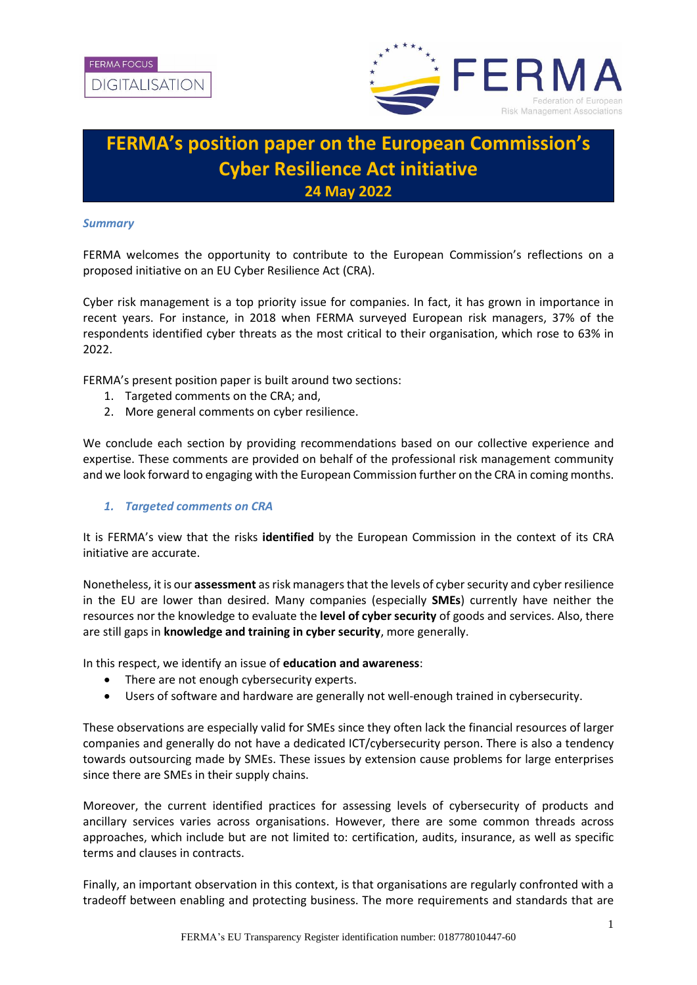

# **FERMA's position paper on the European Commission's Cyber Resilience Act initiative 24 May 2022**

## *Summary*

FERMA welcomes the opportunity to contribute to the European Commission's reflections on a proposed initiative on an EU Cyber Resilience Act (CRA).

Cyber risk management is a top priority issue for companies. In fact, it has grown in importance in recent years. For instance, in 2018 when FERMA surveyed European risk managers, 37% of the respondents identified cyber threats as the most critical to their organisation, which rose to 63% in 2022.

FERMA's present position paper is built around two sections:

- 1. Targeted comments on the CRA; and,
- 2. More general comments on cyber resilience.

We conclude each section by providing recommendations based on our collective experience and expertise. These comments are provided on behalf of the professional risk management community and we look forward to engaging with the European Commission further on the CRA in coming months.

## *1. Targeted comments on CRA*

It is FERMA's view that the risks **identified** by the European Commission in the context of its CRA initiative are accurate.

Nonetheless, it is our **assessment** as risk managers that the levels of cyber security and cyber resilience in the EU are lower than desired. Many companies (especially **SMEs**) currently have neither the resources nor the knowledge to evaluate the **level of cyber security** of goods and services. Also, there are still gaps in **knowledge and training in cyber security**, more generally.

In this respect, we identify an issue of **education and awareness**:

- There are not enough cybersecurity experts.
- Users of software and hardware are generally not well-enough trained in cybersecurity.

These observations are especially valid for SMEs since they often lack the financial resources of larger companies and generally do not have a dedicated ICT/cybersecurity person. There is also a tendency towards outsourcing made by SMEs. These issues by extension cause problems for large enterprises since there are SMEs in their supply chains.

Moreover, the current identified practices for assessing levels of cybersecurity of products and ancillary services varies across organisations. However, there are some common threads across approaches, which include but are not limited to: certification, audits, insurance, as well as specific terms and clauses in contracts.

Finally, an important observation in this context, is that organisations are regularly confronted with a tradeoff between enabling and protecting business. The more requirements and standards that are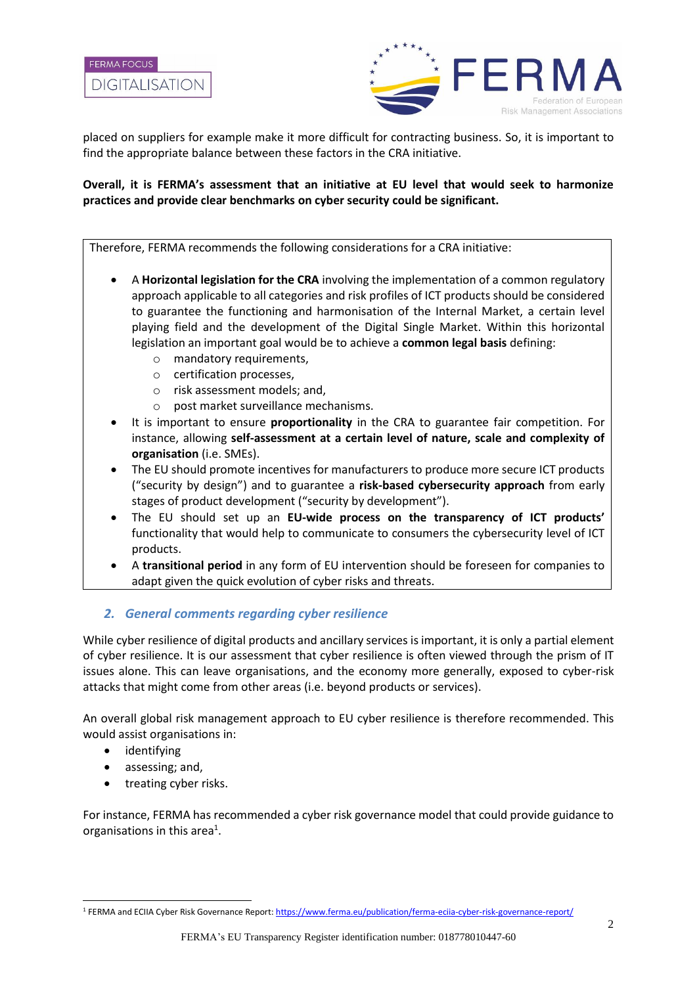

placed on suppliers for example make it more difficult for contracting business. So, it is important to find the appropriate balance between these factors in the CRA initiative.

## **Overall, it is FERMA's assessment that an initiative at EU level that would seek to harmonize practices and provide clear benchmarks on cyber security could be significant.**

Therefore, FERMA recommends the following considerations for a CRA initiative:

- A **Horizontal legislation for the CRA** involving the implementation of a common regulatory approach applicable to all categories and risk profiles of ICT products should be considered to guarantee the functioning and harmonisation of the Internal Market, a certain level playing field and the development of the Digital Single Market. Within this horizontal legislation an important goal would be to achieve a **common legal basis** defining:
	- o mandatory requirements,
	- o certification processes,
	- o risk assessment models; and,
	- o post market surveillance mechanisms.
- It is important to ensure **proportionality** in the CRA to guarantee fair competition. For instance, allowing **self-assessment at a certain level of nature, scale and complexity of organisation** (i.e. SMEs).
- The EU should promote incentives for manufacturers to produce more secure ICT products ("security by design") and to guarantee a **risk-based cybersecurity approach** from early stages of product development ("security by development").
- The EU should set up an **EU-wide process on the transparency of ICT products'** functionality that would help to communicate to consumers the cybersecurity level of ICT products.
- A **transitional period** in any form of EU intervention should be foreseen for companies to adapt given the quick evolution of cyber risks and threats.

## *2. General comments regarding cyber resilience*

While cyber resilience of digital products and ancillary services is important, it is only a partial element of cyber resilience. It is our assessment that cyber resilience is often viewed through the prism of IT issues alone. This can leave organisations, and the economy more generally, exposed to cyber-risk attacks that might come from other areas (i.e. beyond products or services).

An overall global risk management approach to EU cyber resilience is therefore recommended. This would assist organisations in:

- identifying
- assessing; and,
- treating cyber risks.

For instance, FERMA has recommended a cyber risk governance model that could provide guidance to organisations in this area<sup>1</sup>.

<sup>1</sup> FERMA and ECIIA Cyber Risk Governance Report:<https://www.ferma.eu/publication/ferma-eciia-cyber-risk-governance-report/>